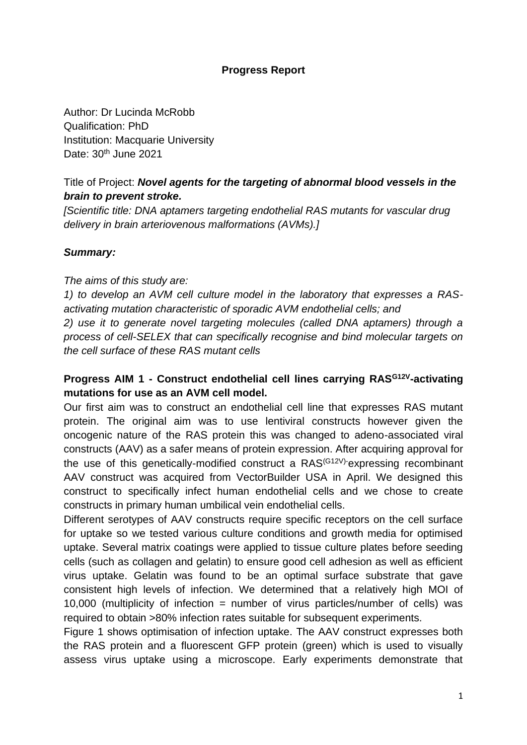## **Progress Report**

Author: Dr Lucinda McRobb Qualification: PhD Institution: Macquarie University Date: 30<sup>th</sup> June 2021

# Title of Project: *Novel agents for the targeting of abnormal blood vessels in the brain to prevent stroke.*

*[Scientific title: DNA aptamers targeting endothelial RAS mutants for vascular drug delivery in brain arteriovenous malformations (AVMs).]*

## *Summary:*

#### *The aims of this study are:*

*1) to develop an AVM cell culture model in the laboratory that expresses a RASactivating mutation characteristic of sporadic AVM endothelial cells; and* 

*2) use it to generate novel targeting molecules (called DNA aptamers) through a process of cell-SELEX that can specifically recognise and bind molecular targets on the cell surface of these RAS mutant cells*

## **Progress AIM 1 - Construct endothelial cell lines carrying RASG12V-activating mutations for use as an AVM cell model.**

Our first aim was to construct an endothelial cell line that expresses RAS mutant protein. The original aim was to use lentiviral constructs however given the oncogenic nature of the RAS protein this was changed to adeno-associated viral constructs (AAV) as a safer means of protein expression. After acquiring approval for the use of this genetically-modified construct a RAS<sup>(G12V)-</sup>expressing recombinant AAV construct was acquired from VectorBuilder USA in April. We designed this construct to specifically infect human endothelial cells and we chose to create constructs in primary human umbilical vein endothelial cells.

Different serotypes of AAV constructs require specific receptors on the cell surface for uptake so we tested various culture conditions and growth media for optimised uptake. Several matrix coatings were applied to tissue culture plates before seeding cells (such as collagen and gelatin) to ensure good cell adhesion as well as efficient virus uptake. Gelatin was found to be an optimal surface substrate that gave consistent high levels of infection. We determined that a relatively high MOI of 10,000 (multiplicity of infection = number of virus particles/number of cells) was required to obtain >80% infection rates suitable for subsequent experiments.

Figure 1 shows optimisation of infection uptake. The AAV construct expresses both the RAS protein and a fluorescent GFP protein (green) which is used to visually assess virus uptake using a microscope. Early experiments demonstrate that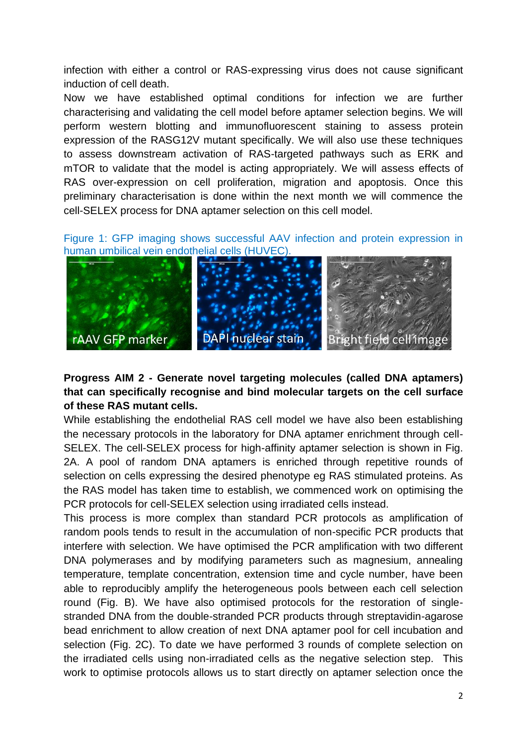infection with either a control or RAS-expressing virus does not cause significant induction of cell death.

Now we have established optimal conditions for infection we are further characterising and validating the cell model before aptamer selection begins. We will perform western blotting and immunofluorescent staining to assess protein expression of the RASG12V mutant specifically. We will also use these techniques to assess downstream activation of RAS-targeted pathways such as ERK and mTOR to validate that the model is acting appropriately. We will assess effects of RAS over-expression on cell proliferation, migration and apoptosis. Once this preliminary characterisation is done within the next month we will commence the cell-SELEX process for DNA aptamer selection on this cell model.

Figure 1: GFP imaging shows successful AAV infection and protein expression in human umbilical vein endothelial cells (HUVEC).



# **Progress AIM 2 - Generate novel targeting molecules (called DNA aptamers) that can specifically recognise and bind molecular targets on the cell surface of these RAS mutant cells.**

While establishing the endothelial RAS cell model we have also been establishing the necessary protocols in the laboratory for DNA aptamer enrichment through cell-SELEX. The cell-SELEX process for high-affinity aptamer selection is shown in Fig. 2A. A pool of random DNA aptamers is enriched through repetitive rounds of selection on cells expressing the desired phenotype eg RAS stimulated proteins. As the RAS model has taken time to establish, we commenced work on optimising the PCR protocols for cell-SELEX selection using irradiated cells instead.

This process is more complex than standard PCR protocols as amplification of random pools tends to result in the accumulation of non-specific PCR products that interfere with selection. We have optimised the PCR amplification with two different DNA polymerases and by modifying parameters such as magnesium, annealing temperature, template concentration, extension time and cycle number, have been able to reproducibly amplify the heterogeneous pools between each cell selection round (Fig. B). We have also optimised protocols for the restoration of singlestranded DNA from the double-stranded PCR products through streptavidin-agarose bead enrichment to allow creation of next DNA aptamer pool for cell incubation and selection (Fig. 2C). To date we have performed 3 rounds of complete selection on the irradiated cells using non-irradiated cells as the negative selection step. This work to optimise protocols allows us to start directly on aptamer selection once the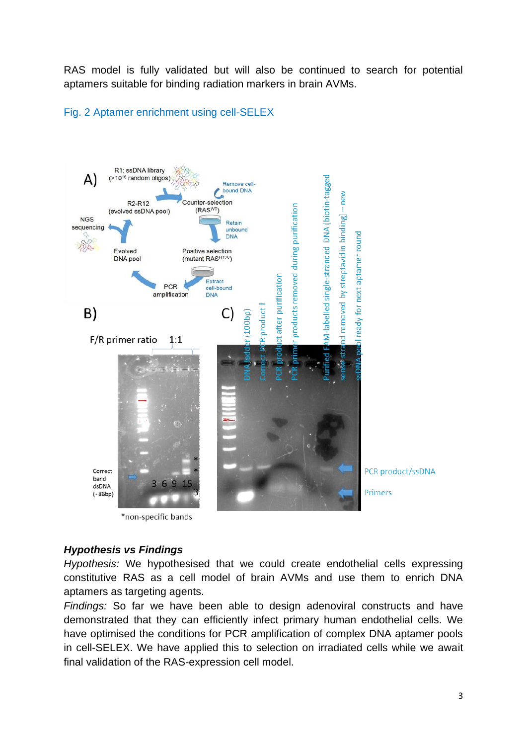RAS model is fully validated but will also be continued to search for potential aptamers suitable for binding radiation markers in brain AVMs.



### Fig. 2 Aptamer enrichment using cell-SELEX

\*non-specific bands

## *Hypothesis vs Findings*

*Hypothesis:* We hypothesised that we could create endothelial cells expressing constitutive RAS as a cell model of brain AVMs and use them to enrich DNA aptamers as targeting agents.

*Findings:* So far we have been able to design adenoviral constructs and have demonstrated that they can efficiently infect primary human endothelial cells. We have optimised the conditions for PCR amplification of complex DNA aptamer pools in cell-SELEX. We have applied this to selection on irradiated cells while we await final validation of the RAS-expression cell model.